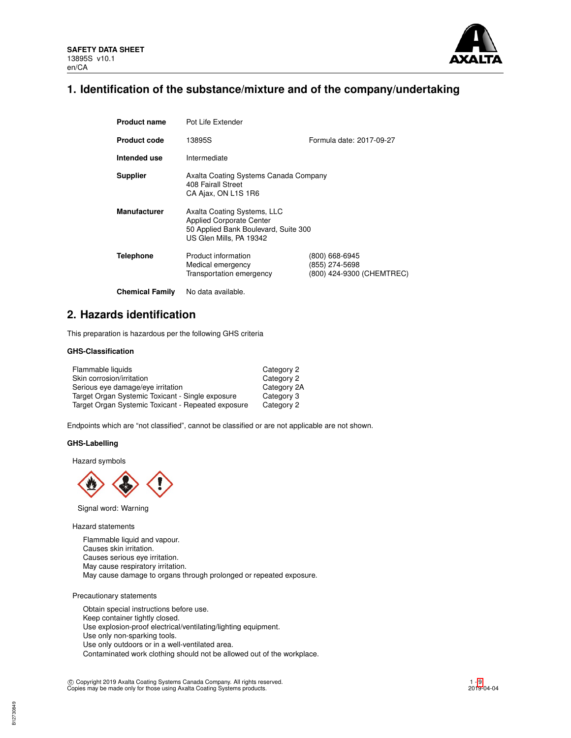

# **1. Identification of the substance/mixture and of the company/undertaking**

| <b>Product name</b>    | Pot Life Extender                                                                                                                 |                                                               |
|------------------------|-----------------------------------------------------------------------------------------------------------------------------------|---------------------------------------------------------------|
| <b>Product code</b>    | 13895S                                                                                                                            | Formula date: 2017-09-27                                      |
| Intended use           | Intermediate                                                                                                                      |                                                               |
| <b>Supplier</b>        | Axalta Coating Systems Canada Company<br>408 Fairall Street<br>CA Ajax, ON L1S 1R6                                                |                                                               |
| <b>Manufacturer</b>    | Axalta Coating Systems, LLC<br><b>Applied Corporate Center</b><br>50 Applied Bank Boulevard, Suite 300<br>US Glen Mills, PA 19342 |                                                               |
| Telephone              | Product information<br>Medical emergency<br>Transportation emergency                                                              | (800) 668-6945<br>(855) 274-5698<br>(800) 424-9300 (CHEMTREC) |
| <b>Chemical Family</b> | No data available.                                                                                                                |                                                               |

## **2. Hazards identification**

This preparation is hazardous per the following GHS criteria

## **GHS-Classification**

| Flammable liquids                                  | Category 2  |
|----------------------------------------------------|-------------|
| Skin corrosion/irritation                          | Category 2  |
| Serious eye damage/eye irritation                  | Category 2A |
| Target Organ Systemic Toxicant - Single exposure   | Category 3  |
| Target Organ Systemic Toxicant - Repeated exposure | Category 2  |

Endpoints which are "not classified", cannot be classified or are not applicable are not shown.

## **GHS-Labelling**

Hazard symbols



Signal word: Warning

Hazard statements

Flammable liquid and vapour. Causes skin irritation. Causes serious eye irritation. May cause respiratory irritation. May cause damage to organs through prolonged or repeated exposure.

### Precautionary statements

Obtain special instructions before use. Keep container tightly closed. Use explosion-proof electrical/ventilating/lighting equipment. Use only non-sparking tools. Use only outdoors or in a well-ventilated area. Contaminated work clothing should not be allowed out of the workplace.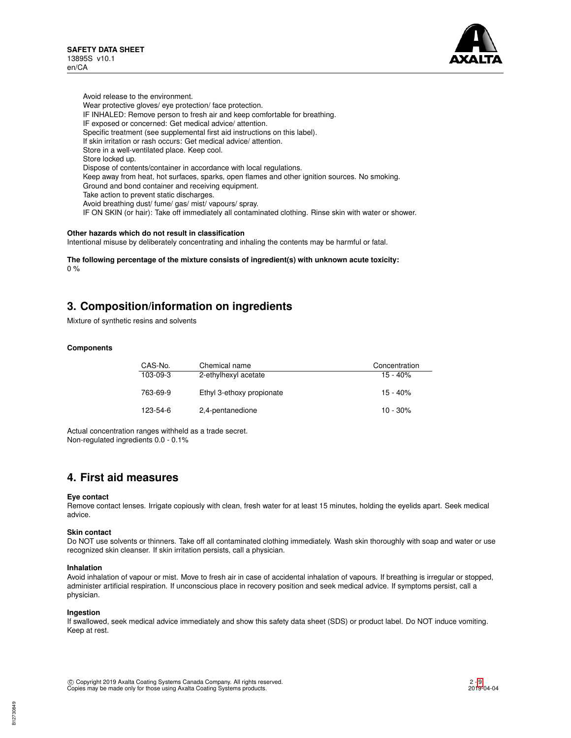

Avoid release to the environment. Wear protective gloves/ eye protection/ face protection. IF INHALED: Remove person to fresh air and keep comfortable for breathing. IF exposed or concerned: Get medical advice/ attention. Specific treatment (see supplemental first aid instructions on this label). If skin irritation or rash occurs: Get medical advice/ attention. Store in a well-ventilated place. Keep cool. Store locked up. Dispose of contents/container in accordance with local regulations. Keep away from heat, hot surfaces, sparks, open flames and other ignition sources. No smoking. Ground and bond container and receiving equipment. Take action to prevent static discharges. Avoid breathing dust/ fume/ gas/ mist/ vapours/ spray. IF ON SKIN (or hair): Take off immediately all contaminated clothing. Rinse skin with water or shower.

### **Other hazards which do not result in classification**

Intentional misuse by deliberately concentrating and inhaling the contents may be harmful or fatal.

**The following percentage of the mixture consists of ingredient(s) with unknown acute toxicity:** 0 %

## **3. Composition/information on ingredients**

Mixture of synthetic resins and solvents

## **Components**

| CAS-No.    | Chemical name             | Concentration |
|------------|---------------------------|---------------|
| $103-09-3$ | 2-ethylhexyl acetate      | $15 - 40%$    |
| 763-69-9   | Ethyl 3-ethoxy propionate | $15 - 40%$    |
| 123-54-6   | 2,4-pentanedione          | $10 - 30\%$   |

Actual concentration ranges withheld as a trade secret. Non-regulated ingredients 0.0 - 0.1%

## **4. First aid measures**

### **Eye contact**

Remove contact lenses. Irrigate copiously with clean, fresh water for at least 15 minutes, holding the eyelids apart. Seek medical advice.

### **Skin contact**

Do NOT use solvents or thinners. Take off all contaminated clothing immediately. Wash skin thoroughly with soap and water or use recognized skin cleanser. If skin irritation persists, call a physician.

### **Inhalation**

Avoid inhalation of vapour or mist. Move to fresh air in case of accidental inhalation of vapours. If breathing is irregular or stopped, administer artificial respiration. If unconscious place in recovery position and seek medical advice. If symptoms persist, call a physician.

### **Ingestion**

If swallowed, seek medical advice immediately and show this safety data sheet (SDS) or product label. Do NOT induce vomiting. Keep at rest.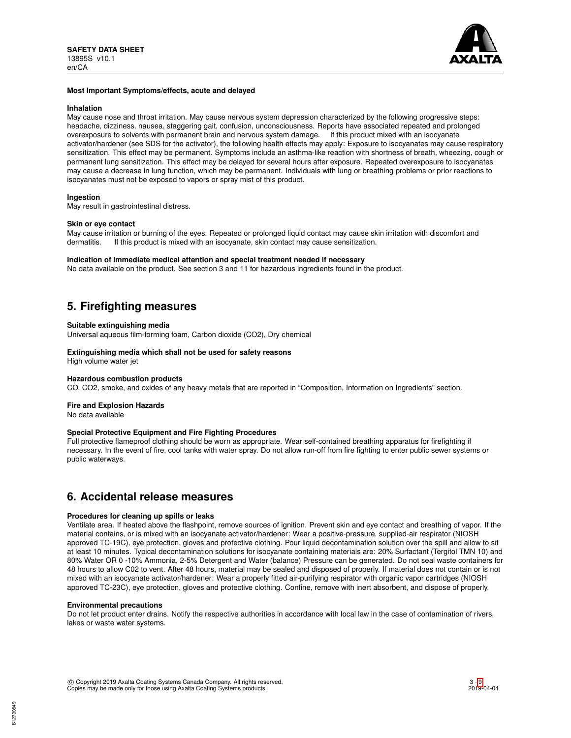

### **Most Important Symptoms/effects, acute and delayed**

#### **Inhalation**

May cause nose and throat irritation. May cause nervous system depression characterized by the following progressive steps: headache, dizziness, nausea, staggering gait, confusion, unconsciousness. Reports have associated repeated and prolonged overexposure to solvents with permanent brain and nervous system damage. If this product mixed with an isocyanate activator/hardener (see SDS for the activator), the following health effects may apply: Exposure to isocyanates may cause respiratory sensitization. This effect may be permanent. Symptoms include an asthma-like reaction with shortness of breath, wheezing, cough or permanent lung sensitization. This effect may be delayed for several hours after exposure. Repeated overexposure to isocyanates may cause a decrease in lung function, which may be permanent. Individuals with lung or breathing problems or prior reactions to isocyanates must not be exposed to vapors or spray mist of this product.

### **Ingestion**

May result in gastrointestinal distress.

### **Skin or eye contact**

May cause irritation or burning of the eyes. Repeated or prolonged liquid contact may cause skin irritation with discomfort and dermatitis. If this product is mixed with an isocvanate. Skin contact may cause sensitization. If this product is mixed with an isocyanate, skin contact may cause sensitization.

### **Indication of Immediate medical attention and special treatment needed if necessary**

No data available on the product. See section 3 and 11 for hazardous ingredients found in the product.

# **5. Firefighting measures**

### **Suitable extinguishing media**

Universal aqueous film-forming foam, Carbon dioxide (CO2), Dry chemical

## **Extinguishing media which shall not be used for safety reasons**

High volume water jet

### **Hazardous combustion products**

CO, CO2, smoke, and oxides of any heavy metals that are reported in "Composition, Information on Ingredients" section.

### **Fire and Explosion Hazards**

No data available

### **Special Protective Equipment and Fire Fighting Procedures**

Full protective flameproof clothing should be worn as appropriate. Wear self-contained breathing apparatus for firefighting if necessary. In the event of fire, cool tanks with water spray. Do not allow run-off from fire fighting to enter public sewer systems or public waterways.

## **6. Accidental release measures**

### **Procedures for cleaning up spills or leaks**

Ventilate area. If heated above the flashpoint, remove sources of ignition. Prevent skin and eye contact and breathing of vapor. If the material contains, or is mixed with an isocyanate activator/hardener: Wear a positive-pressure, supplied-air respirator (NIOSH approved TC-19C), eye protection, gloves and protective clothing. Pour liquid decontamination solution over the spill and allow to sit at least 10 minutes. Typical decontamination solutions for isocyanate containing materials are: 20% Surfactant (Tergitol TMN 10) and 80% Water OR 0 -10% Ammonia, 2-5% Detergent and Water (balance) Pressure can be generated. Do not seal waste containers for 48 hours to allow C02 to vent. After 48 hours, material may be sealed and disposed of properly. If material does not contain or is not mixed with an isocyanate activator/hardener: Wear a properly fitted air-purifying respirator with organic vapor cartridges (NIOSH approved TC-23C), eye protection, gloves and protective clothing. Confine, remove with inert absorbent, and dispose of properly.

### **Environmental precautions**

Do not let product enter drains. Notify the respective authorities in accordance with local law in the case of contamination of rivers, lakes or waste water systems.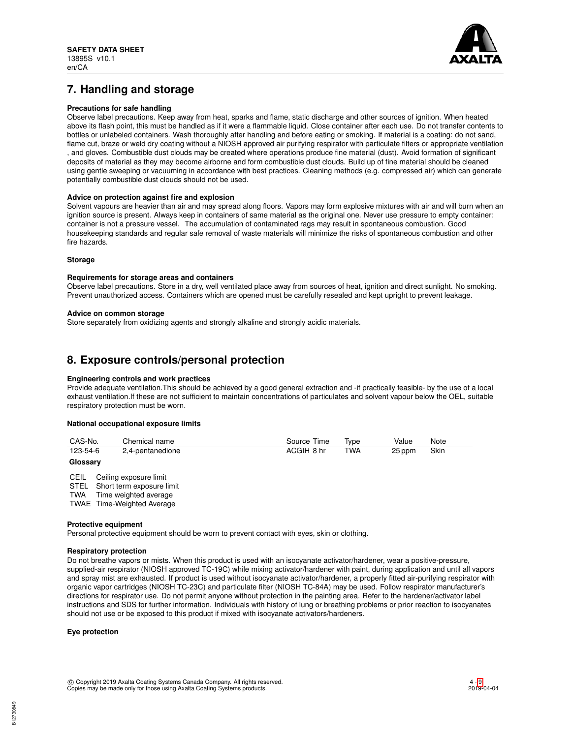

# **7. Handling and storage**

## **Precautions for safe handling**

Observe label precautions. Keep away from heat, sparks and flame, static discharge and other sources of ignition. When heated above its flash point, this must be handled as if it were a flammable liquid. Close container after each use. Do not transfer contents to bottles or unlabeled containers. Wash thoroughly after handling and before eating or smoking. If material is a coating: do not sand, flame cut, braze or weld dry coating without a NIOSH approved air purifying respirator with particulate filters or appropriate ventilation , and gloves. Combustible dust clouds may be created where operations produce fine material (dust). Avoid formation of significant deposits of material as they may become airborne and form combustible dust clouds. Build up of fine material should be cleaned using gentle sweeping or vacuuming in accordance with best practices. Cleaning methods (e.g. compressed air) which can generate potentially combustible dust clouds should not be used.

### **Advice on protection against fire and explosion**

Solvent vapours are heavier than air and may spread along floors. Vapors may form explosive mixtures with air and will burn when an ignition source is present. Always keep in containers of same material as the original one. Never use pressure to empty container: container is not a pressure vessel. The accumulation of contaminated rags may result in spontaneous combustion. Good housekeeping standards and regular safe removal of waste materials will minimize the risks of spontaneous combustion and other fire hazards.

### **Storage**

### **Requirements for storage areas and containers**

Observe label precautions. Store in a dry, well ventilated place away from sources of heat, ignition and direct sunlight. No smoking. Prevent unauthorized access. Containers which are opened must be carefully resealed and kept upright to prevent leakage.

### **Advice on common storage**

Store separately from oxidizing agents and strongly alkaline and strongly acidic materials.

## **8. Exposure controls/personal protection**

## **Engineering controls and work practices**

Provide adequate ventilation.This should be achieved by a good general extraction and -if practically feasible- by the use of a local exhaust ventilation.If these are not sufficient to maintain concentrations of particulates and solvent vapour below the OEL, suitable respiratory protection must be worn.

## **National occupational exposure limits**

| CAS-No.  | Chemical name    | Source Time | Type       | Value  | Note |
|----------|------------------|-------------|------------|--------|------|
| 123-54-6 | 2,4-pentanedione | ACGIH 8 hr  | <b>TWA</b> | 25 ppm | Skin |

## **Glossary**

CEIL Ceiling exposure limit

STEL Short term exposure limit<br>TWA Time weighted average Time weighted average

TWAE Time-Weighted Average

### **Protective equipment**

Personal protective equipment should be worn to prevent contact with eyes, skin or clothing.

## **Respiratory protection**

Do not breathe vapors or mists. When this product is used with an isocyanate activator/hardener, wear a positive-pressure, supplied-air respirator (NIOSH approved TC-19C) while mixing activator/hardener with paint, during application and until all vapors and spray mist are exhausted. If product is used without isocyanate activator/hardener, a properly fitted air-purifying respirator with organic vapor cartridges (NIOSH TC-23C) and particulate filter (NIOSH TC-84A) may be used. Follow respirator manufacturer's directions for respirator use. Do not permit anyone without protection in the painting area. Refer to the hardener/activator label instructions and SDS for further information. Individuals with history of lung or breathing problems or prior reaction to isocyanates should not use or be exposed to this product if mixed with isocyanate activators/hardeners.

### **Eye protection**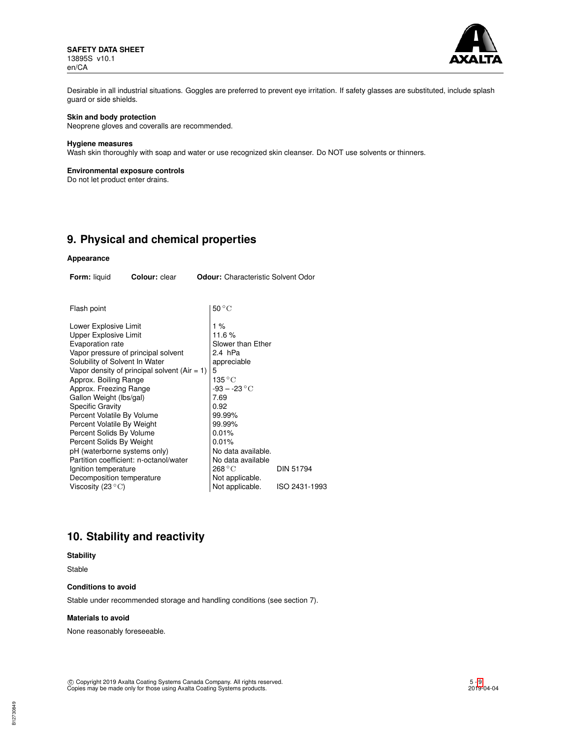

Desirable in all industrial situations. Goggles are preferred to prevent eye irritation. If safety glasses are substituted, include splash guard or side shields.

## **Skin and body protection**

Neoprene gloves and coveralls are recommended.

#### **Hygiene measures**

Wash skin thoroughly with soap and water or use recognized skin cleanser. Do NOT use solvents or thinners.

## **Environmental exposure controls**

Do not let product enter drains.

## **9. Physical and chemical properties**

### **Appearance**

| Form: liquid                                                                                                                                                                                                                                                                                                                                                             | Colour: clear                                                                                                                    | <b>Odour:</b> Characteristic Solvent Odor                                                                                                                                                                          |                  |
|--------------------------------------------------------------------------------------------------------------------------------------------------------------------------------------------------------------------------------------------------------------------------------------------------------------------------------------------------------------------------|----------------------------------------------------------------------------------------------------------------------------------|--------------------------------------------------------------------------------------------------------------------------------------------------------------------------------------------------------------------|------------------|
|                                                                                                                                                                                                                                                                                                                                                                          |                                                                                                                                  |                                                                                                                                                                                                                    |                  |
| Flash point                                                                                                                                                                                                                                                                                                                                                              |                                                                                                                                  | $50^{\circ}$ C                                                                                                                                                                                                     |                  |
| Lower Explosive Limit<br><b>Upper Explosive Limit</b><br>Evaporation rate<br>Solubility of Solvent In Water<br>Approx. Boiling Range<br>Approx. Freezing Range<br>Gallon Weight (lbs/gal)<br><b>Specific Gravity</b><br>Percent Volatile By Volume<br>Percent Volatile By Weight<br>Percent Solids By Volume<br>Percent Solids By Weight<br>pH (waterborne systems only) | Vapor pressure of principal solvent<br>Vapor density of principal solvent (Air $= 1$ )<br>Partition coefficient: n-octanol/water | $1\%$<br>11.6%<br>Slower than Ether<br>2.4 hPa<br>appreciable<br>5<br>$135\,^{\circ}\mathrm{C}$<br>$-93 - -23 °C$<br>7.69<br>0.92<br>99.99%<br>99.99%<br>0.01%<br>0.01%<br>No data available.<br>No data available |                  |
| Ignition temperature<br>Decomposition temperature                                                                                                                                                                                                                                                                                                                        |                                                                                                                                  | 268 °C<br>Not applicable.                                                                                                                                                                                          | <b>DIN 51794</b> |
| Viscosity (23 $^{\circ}$ C)                                                                                                                                                                                                                                                                                                                                              |                                                                                                                                  | Not applicable.                                                                                                                                                                                                    | ISO 2431-1993    |

# **10. Stability and reactivity**

## **Stability**

Stable

B12730849

## **Conditions to avoid**

Stable under recommended storage and handling conditions (see section 7).

## **Materials to avoid**

None reasonably foreseeable.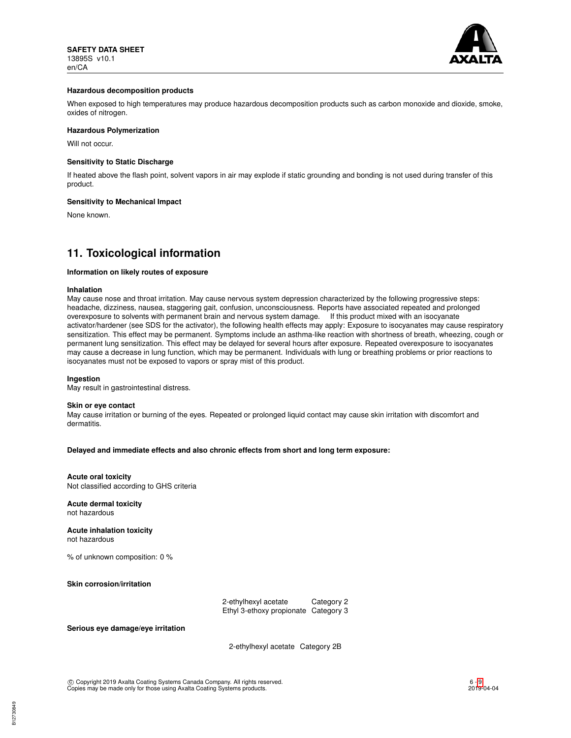

### **Hazardous decomposition products**

When exposed to high temperatures may produce hazardous decomposition products such as carbon monoxide and dioxide, smoke, oxides of nitrogen.

### **Hazardous Polymerization**

Will not occur.

### **Sensitivity to Static Discharge**

If heated above the flash point, solvent vapors in air may explode if static grounding and bonding is not used during transfer of this product.

#### **Sensitivity to Mechanical Impact**

None known.

## **11. Toxicological information**

## **Information on likely routes of exposure**

#### **Inhalation**

May cause nose and throat irritation. May cause nervous system depression characterized by the following progressive steps: headache, dizziness, nausea, staggering gait, confusion, unconsciousness. Reports have associated repeated and prolonged overexposure to solvents with permanent brain and nervous system damage. If this product mixed with an isocyanate activator/hardener (see SDS for the activator), the following health effects may apply: Exposure to isocyanates may cause respiratory sensitization. This effect may be permanent. Symptoms include an asthma-like reaction with shortness of breath, wheezing, cough or permanent lung sensitization. This effect may be delayed for several hours after exposure. Repeated overexposure to isocyanates may cause a decrease in lung function, which may be permanent. Individuals with lung or breathing problems or prior reactions to isocyanates must not be exposed to vapors or spray mist of this product.

#### **Ingestion**

May result in gastrointestinal distress.

#### **Skin or eye contact**

May cause irritation or burning of the eyes. Repeated or prolonged liquid contact may cause skin irritation with discomfort and dermatitis.

### **Delayed and immediate effects and also chronic effects from short and long term exposure:**

### **Acute oral toxicity**

Not classified according to GHS criteria

**Acute dermal toxicity** not hazardous

## **Acute inhalation toxicity**

not hazardous

% of unknown composition: 0 %

**Skin corrosion/irritation**

| 2-ethylhexyl acetate                 | Category 2 |
|--------------------------------------|------------|
| Ethyl 3-ethoxy propionate Category 3 |            |

**Serious eye damage/eye irritation**

2-ethylhexyl acetate Category 2B

 c Copyright 2019 Axalta Coating Systems Canada Company. All rights reserved. Copies may be made only for those using Axalta Coating Systems products.

6 - [9](#page-8-0) 2019-04-04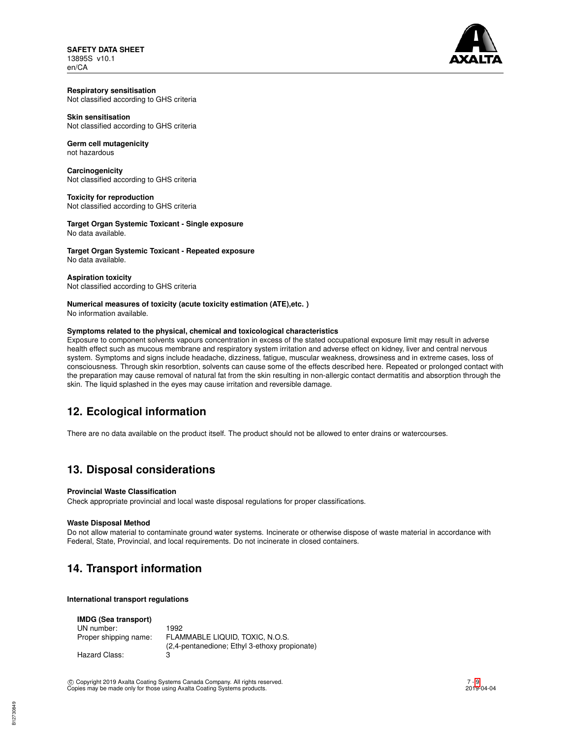**SAFETY DATA SHEET** 13895S v10.1 en/CA



### **Respiratory sensitisation** Not classified according to GHS criteria

**Skin sensitisation** Not classified according to GHS criteria

#### **Germ cell mutagenicity** not hazardous

**Carcinogenicity** Not classified according to GHS criteria

**Toxicity for reproduction** Not classified according to GHS criteria

**Target Organ Systemic Toxicant - Single exposure** No data available.

**Target Organ Systemic Toxicant - Repeated exposure** No data available.

**Aspiration toxicity** Not classified according to GHS criteria

## **Numerical measures of toxicity (acute toxicity estimation (ATE),etc. )**

No information available.

## **Symptoms related to the physical, chemical and toxicological characteristics**

Exposure to component solvents vapours concentration in excess of the stated occupational exposure limit may result in adverse health effect such as mucous membrane and respiratory system irritation and adverse effect on kidney, liver and central nervous system. Symptoms and signs include headache, dizziness, fatigue, muscular weakness, drowsiness and in extreme cases, loss of consciousness. Through skin resorbtion, solvents can cause some of the effects described here. Repeated or prolonged contact with the preparation may cause removal of natural fat from the skin resulting in non-allergic contact dermatitis and absorption through the skin. The liquid splashed in the eyes may cause irritation and reversible damage.

# **12. Ecological information**

There are no data available on the product itself. The product should not be allowed to enter drains or watercourses.

# **13. Disposal considerations**

## **Provincial Waste Classification**

Check appropriate provincial and local waste disposal regulations for proper classifications.

## **Waste Disposal Method**

Do not allow material to contaminate ground water systems. Incinerate or otherwise dispose of waste material in accordance with Federal, State, Provincial, and local requirements. Do not incinerate in closed containers.

# **14. Transport information**

**International transport regulations**

| <b>IMDG (Sea transport)</b> |                                                                                  |
|-----------------------------|----------------------------------------------------------------------------------|
| UN number:                  | 1992                                                                             |
| Proper shipping name:       | FLAMMABLE LIQUID. TOXIC. N.O.S.<br>(2,4-pentanedione; Ethyl 3-ethoxy propionate) |
| Hazard Class:               | з                                                                                |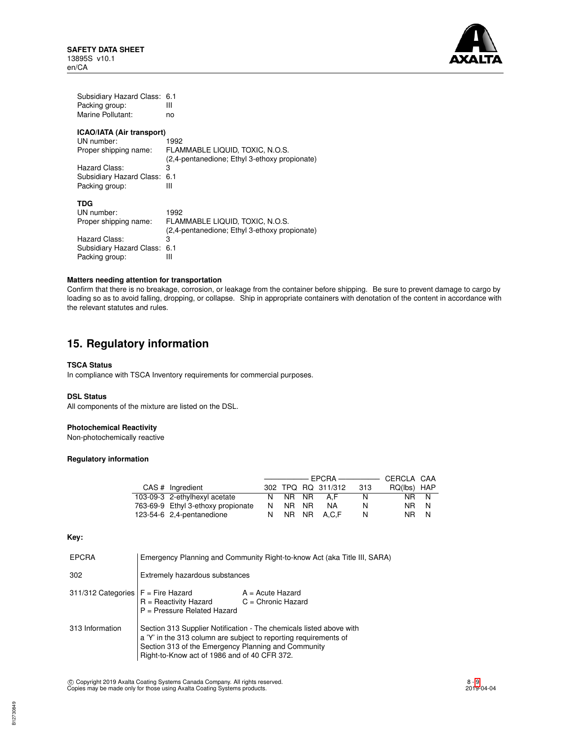

| Subsidiary Hazard Class:  | 6.1                                           |
|---------------------------|-----------------------------------------------|
| Packing group:            | Ш                                             |
| Marine Pollutant:         | no                                            |
| ICAO/IATA (Air transport) | 1992                                          |
| UN number:                | FLAMMABLE LIQUID, TOXIC, N.O.S.               |
| Proper shipping name:     | (2,4-pentanedione; Ethyl 3-ethoxy propionate) |
| Hazard Class:             | 3                                             |
| Subsidiary Hazard Class:  | 6.1                                           |
| Packing group:            | Ш                                             |
| TDG                       | 1992                                          |
| UN number:                | FLAMMABLE LIQUID, TOXIC, N.O.S.               |
| Proper shipping name:     | (2,4-pentanedione; Ethyl 3-ethoxy propionate) |
| Hazard Class:             | 3                                             |
| Subsidiary Hazard Class:  | 6.1                                           |
| Packing group:            | Ш                                             |

## **Matters needing attention for transportation**

Confirm that there is no breakage, corrosion, or leakage from the container before shipping. Be sure to prevent damage to cargo by loading so as to avoid falling, dropping, or collapse. Ship in appropriate containers with denotation of the content in accordance with the relevant statutes and rules.

## **15. Regulatory information**

### **TSCA Status**

In compliance with TSCA Inventory requirements for commercial purposes.

## **DSL Status**

All components of the mixture are listed on the DSL.

## **Photochemical Reactivity**

Non-photochemically reactive

## **Regulatory information**

|  | CAS # Ingredient                   |   |       | 302 TPQ RQ 311/312 | 313 | RQ(lbs) HAP |   |
|--|------------------------------------|---|-------|--------------------|-----|-------------|---|
|  | 103-09-3 2-ethylhexyl acetate      |   | NR NR | AF                 | N   | NR N        |   |
|  | 763-69-9 Ethyl 3-ethoxy propionate | N | NR NR | NA                 | N   | NR N        |   |
|  | 123-54-6 2,4-pentanedione          | N |       | NR NR A.C.F        | N   | NR          | N |

## **Key:**

| <b>EPCRA</b>       | Emergency Planning and Community Right-to-know Act (aka Title III, SARA)                                                                                                                                                                       |                                            |  |
|--------------------|------------------------------------------------------------------------------------------------------------------------------------------------------------------------------------------------------------------------------------------------|--------------------------------------------|--|
| 302                | Extremely hazardous substances                                                                                                                                                                                                                 |                                            |  |
| 311/312 Categories | $F =$ Fire Hazard<br>$R =$ Reactivity Hazard<br>$P =$ Pressure Related Hazard                                                                                                                                                                  | $A = Acute$ Hazard<br>$C =$ Chronic Hazard |  |
| 313 Information    | Section 313 Supplier Notification - The chemicals listed above with<br>a 'Y' in the 313 column are subject to reporting requirements of<br>Section 313 of the Emergency Planning and Community<br>Right-to-Know act of 1986 and of 40 CFR 372. |                                            |  |